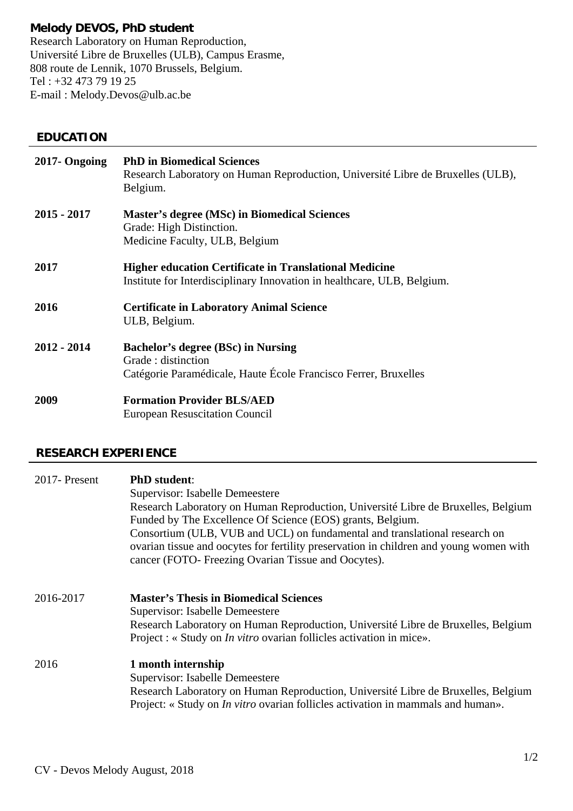## **Melody DEVOS, PhD student**

 Tel : +32 473 79 19 25 Research Laboratory on Human Reproduction, Université Libre de Bruxelles (ULB), Campus Erasme, 808 route de Lennik, 1070 Brussels, Belgium. E-mail : Melody.Devos@ulb.ac.be

## **EDUCATION**

| 2017- Ongoing | <b>PhD</b> in Biomedical Sciences<br>Research Laboratory on Human Reproduction, Université Libre de Bruxelles (ULB),<br>Belgium.         |
|---------------|------------------------------------------------------------------------------------------------------------------------------------------|
| $2015 - 2017$ | <b>Master's degree (MSc) in Biomedical Sciences</b><br>Grade: High Distinction.<br>Medicine Faculty, ULB, Belgium                        |
| 2017          | <b>Higher education Certificate in Translational Medicine</b><br>Institute for Interdisciplinary Innovation in healthcare, ULB, Belgium. |
| 2016          | <b>Certificate in Laboratory Animal Science</b><br>ULB, Belgium.                                                                         |
| $2012 - 2014$ | <b>Bachelor's degree (BSc) in Nursing</b><br>Grade: distinction<br>Catégorie Paramédicale, Haute École Francisco Ferrer, Bruxelles       |
| 2009          | <b>Formation Provider BLS/AED</b><br><b>European Resuscitation Council</b>                                                               |

## **RESEARCH EXPERIENCE**

| 2017-Present | <b>PhD</b> student:<br>Supervisor: Isabelle Demeestere<br>Research Laboratory on Human Reproduction, Université Libre de Bruxelles, Belgium<br>Funded by The Excellence Of Science (EOS) grants, Belgium.<br>Consortium (ULB, VUB and UCL) on fundamental and translational research on<br>ovarian tissue and oocytes for fertility preservation in children and young women with<br>cancer (FOTO- Freezing Ovarian Tissue and Oocytes). |
|--------------|------------------------------------------------------------------------------------------------------------------------------------------------------------------------------------------------------------------------------------------------------------------------------------------------------------------------------------------------------------------------------------------------------------------------------------------|
| 2016-2017    | <b>Master's Thesis in Biomedical Sciences</b><br>Supervisor: Isabelle Demeestere<br>Research Laboratory on Human Reproduction, Université Libre de Bruxelles, Belgium<br>Project : « Study on <i>In vitro</i> ovarian follicles activation in mice».                                                                                                                                                                                     |
| 2016         | 1 month internship<br>Supervisor: Isabelle Demeestere<br>Research Laboratory on Human Reproduction, Université Libre de Bruxelles, Belgium<br>Project: « Study on <i>In vitro</i> ovarian follicles activation in mammals and human».                                                                                                                                                                                                    |